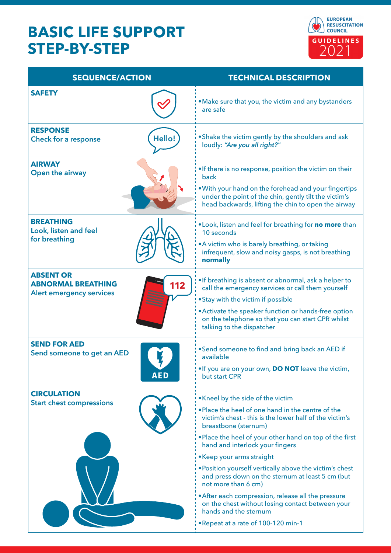## **BASIC LIFE SUPPORT STEP-BY-STEP**



| <b>SEQUENCE/ACTION</b>                                                           |               | <b>TECHNICAL DESCRIPTION</b>                                                                                                                                                                                                                                                               |
|----------------------------------------------------------------------------------|---------------|--------------------------------------------------------------------------------------------------------------------------------------------------------------------------------------------------------------------------------------------------------------------------------------------|
| <b>SAFETY</b>                                                                    |               | . Make sure that you, the victim and any bystanders<br>are safe                                                                                                                                                                                                                            |
| <b>RESPONSE</b><br><b>Check for a response</b>                                   | <b>Hello!</b> | . Shake the victim gently by the shoulders and ask<br>loudly: "Are you all right?"                                                                                                                                                                                                         |
| <b>AIRWAY</b><br>Open the airway                                                 |               | . If there is no response, position the victim on their<br>back<br>. With your hand on the forehead and your fingertips<br>under the point of the chin, gently tilt the victim's<br>head backwards, lifting the chin to open the airway                                                    |
| <b>BREATHING</b><br>Look, listen and feel<br>for breathing                       |               | . Look, listen and feel for breathing for no more than<br>10 seconds<br>• A victim who is barely breathing, or taking<br>infrequent, slow and noisy gasps, is not breathing<br>normally                                                                                                    |
| <b>ABSENT OR</b><br><b>ABNORMAL BREATHING</b><br><b>Alert emergency services</b> | 112           | . If breathing is absent or abnormal, ask a helper to<br>call the emergency services or call them yourself<br>• Stay with the victim if possible<br>• Activate the speaker function or hands-free option<br>on the telephone so that you can start CPR whilst<br>talking to the dispatcher |
| <b>SEND FOR AED</b><br>Send someone to get an AED                                | <b>AED</b>    | • Send someone to find and bring back an AED if<br>available<br>. If you are on your own, DO NOT leave the victim,<br>but start CPR                                                                                                                                                        |
| <b>CIRCULATION</b><br><b>Start chest compressions</b>                            |               | . Kneel by the side of the victim<br>. Place the heel of one hand in the centre of the<br>victim's chest - this is the lower half of the victim's<br>breastbone (sternum)                                                                                                                  |
|                                                                                  |               | . Place the heel of your other hand on top of the first<br>hand and interlock your fingers<br>• Keep your arms straight                                                                                                                                                                    |
|                                                                                  |               | . Position yourself vertically above the victim's chest<br>and press down on the sternum at least 5 cm (but<br>not more than 6 cm)                                                                                                                                                         |
|                                                                                  |               | • After each compression, release all the pressure<br>on the chest without losing contact between your<br>hands and the sternum                                                                                                                                                            |
|                                                                                  |               | . Repeat at a rate of 100-120 min-1                                                                                                                                                                                                                                                        |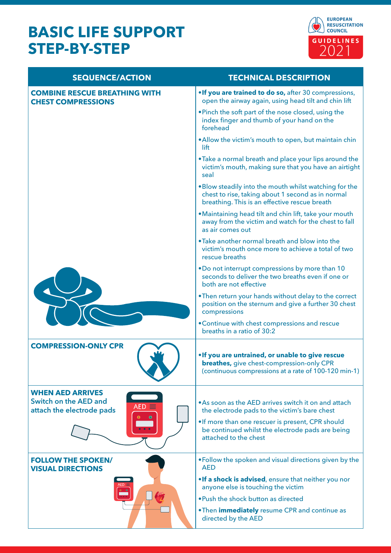## **BASIC LIFE SUPPORT STEP-BY-STEP**



| <b>SEQUENCE/ACTION</b>                                                                                                            | <b>TECHNICAL DESCRIPTION</b>                                                                                                                                 |
|-----------------------------------------------------------------------------------------------------------------------------------|--------------------------------------------------------------------------------------------------------------------------------------------------------------|
| <b>COMBINE RESCUE BREATHING WITH</b><br><b>CHEST COMPRESSIONS</b>                                                                 | . If you are trained to do so, after 30 compressions,<br>open the airway again, using head tilt and chin lift                                                |
|                                                                                                                                   | . Pinch the soft part of the nose closed, using the<br>index finger and thumb of your hand on the<br>forehead                                                |
|                                                                                                                                   | . Allow the victim's mouth to open, but maintain chin<br>lift                                                                                                |
|                                                                                                                                   | . Take a normal breath and place your lips around the<br>victim's mouth, making sure that you have an airtight<br>seal                                       |
|                                                                                                                                   | . Blow steadily into the mouth whilst watching for the<br>chest to rise, taking about 1 second as in normal<br>breathing. This is an effective rescue breath |
|                                                                                                                                   | . Maintaining head tilt and chin lift, take your mouth<br>away from the victim and watch for the chest to fall<br>as air comes out                           |
|                                                                                                                                   | . Take another normal breath and blow into the<br>victim's mouth once more to achieve a total of two<br>rescue breaths                                       |
|                                                                                                                                   | . Do not interrupt compressions by more than 10<br>seconds to deliver the two breaths even if one or<br>both are not effective                               |
|                                                                                                                                   | . Then return your hands without delay to the correct<br>position on the sternum and give a further 30 chest<br>compressions                                 |
|                                                                                                                                   | • Continue with chest compressions and rescue<br>breaths in a ratio of 30:2                                                                                  |
| <b>COMPRESSION-ONLY CPR</b>                                                                                                       | . If you are untrained, or unable to give rescue<br><b>breathes,</b> give chest-compression-only CPR<br>(continuous compressions at a rate of 100-120 min-1) |
| <b>WHEN AED ARRIVES</b><br>Switch on the AED and<br>$AED \equiv$<br>attach the electrode pads<br>$\bullet$<br>$\bullet$ $\bullet$ | • As soon as the AED arrives switch it on and attach<br>the electrode pads to the victim's bare chest                                                        |
|                                                                                                                                   | . If more than one rescuer is present, CPR should<br>be continued whilst the electrode pads are being<br>attached to the chest                               |
| <b>FOLLOW THE SPOKEN/</b><br><b>VISUAL DIRECTIONS</b>                                                                             | . Follow the spoken and visual directions given by the<br><b>AED</b>                                                                                         |
|                                                                                                                                   | . If a shock is advised, ensure that neither you nor<br>anyone else is touching the victim                                                                   |
|                                                                                                                                   | . Push the shock button as directed                                                                                                                          |
|                                                                                                                                   | . Then <i>immediately</i> resume CPR and continue as<br>directed by the AED                                                                                  |